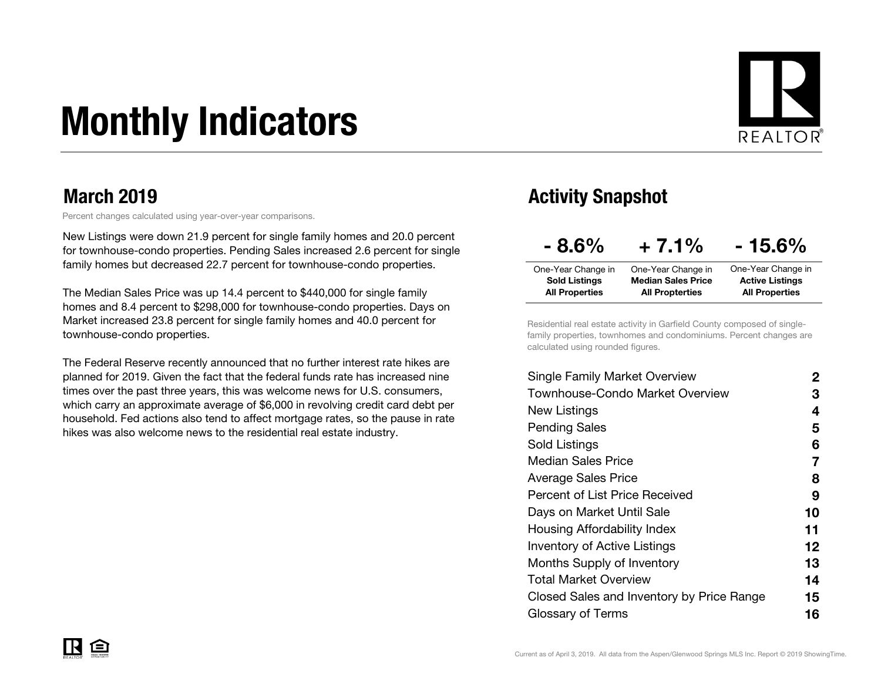# Monthly Indicators



### March 2019

Percent changes calculated using year-over-year comparisons.

New Listings were down 21.9 percent for single family homes and 20.0 percent for townhouse-condo properties. Pending Sales increased 2.6 percent for single family homes but decreased 22.7 percent for townhouse-condo properties.

The Median Sales Price was up 14.4 percent to \$440,000 for single family homes and 8.4 percent to \$298,000 for townhouse-condo properties. Days on Market increased 23.8 percent for single family homes and 40.0 percent for townhouse-condo properties.

The Federal Reserve recently announced that no further interest rate hikes are planned for 2019. Given the fact that the federal funds rate has increased nine times over the past three years, this was welcome news for U.S. consumers, which carry an approximate average of \$6,000 in revolving credit card debt per household. Fed actions also tend to affect mortgage rates, so the pause in rate hikes was also welcome news to the residential real estate industry.

### Activity Snapshot

| $-8.6\%$              | $+7.1%$                   | $-15.6\%$              |
|-----------------------|---------------------------|------------------------|
| One-Year Change in    | One-Year Change in        | One-Year Change in     |
| <b>Sold Listings</b>  | <b>Median Sales Price</b> | <b>Active Listings</b> |
| <b>All Properties</b> | <b>All Propterties</b>    | <b>All Properties</b>  |

Residential real estate activity in Garfield County composed of singlefamily properties, townhomes and condominiums. Percent changes are calculated using rounded figures.

| Single Family Market Overview             | $\mathbf{2}$ |
|-------------------------------------------|--------------|
| Townhouse-Condo Market Overview           | З            |
| New Listings                              | 4            |
| <b>Pending Sales</b>                      | 5            |
| Sold Listings                             | 6            |
| <b>Median Sales Price</b>                 | 7            |
| Average Sales Price                       | 8            |
| <b>Percent of List Price Received</b>     | 9            |
| Days on Market Until Sale                 | 10           |
| Housing Affordability Index               | 11           |
| <b>Inventory of Active Listings</b>       | 12           |
| <b>Months Supply of Inventory</b>         | 13           |
| Total Market Overview                     | 14           |
| Closed Sales and Inventory by Price Range | 15           |
| Glossary of Terms                         | 16           |
|                                           |              |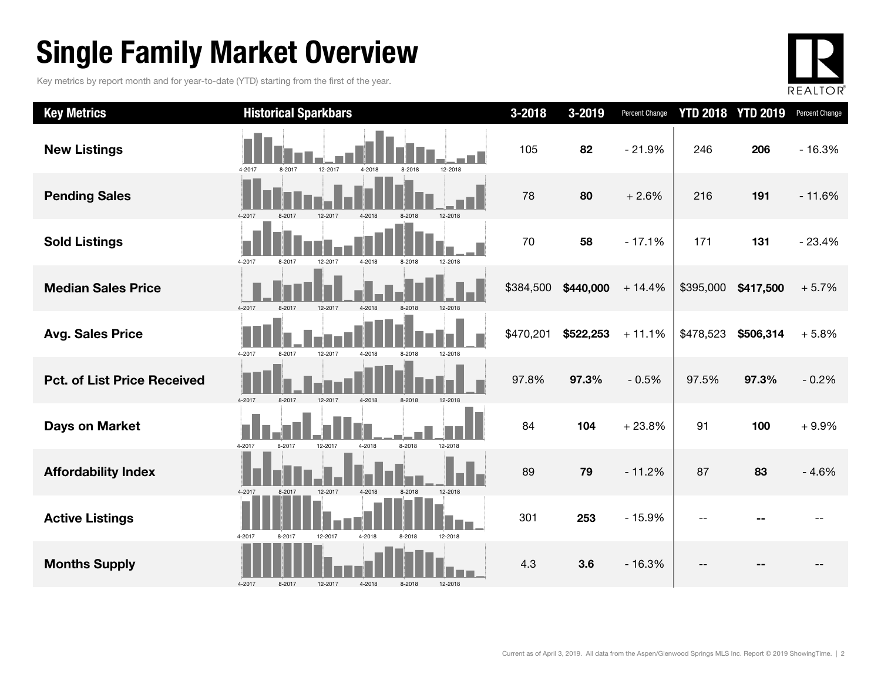# Single Family Market Overview

Key metrics by report month and for year-to-date (YTD) starting from the first of the year.



| <b>Key Metrics</b>                 | <b>Historical Sparkbars</b>                                | $3 - 2018$ | 3-2019    | Percent Change |           | <b>YTD 2018 YTD 2019</b> | Percent Change |
|------------------------------------|------------------------------------------------------------|------------|-----------|----------------|-----------|--------------------------|----------------|
| <b>New Listings</b>                | 8-2017<br>12-2017<br>4-2018<br>12-2018<br>4-2017<br>8-2018 | 105        | 82        | $-21.9%$       | 246       | 206                      | $-16.3%$       |
| <b>Pending Sales</b>               | 4-2017<br>4-2018<br>12-2018<br>8-2017<br>12-2017<br>8-2018 | 78         | 80        | $+2.6%$        | 216       | 191                      | $-11.6%$       |
| <b>Sold Listings</b>               | 4-2017<br>8-2017<br>12-2017<br>4-2018<br>8-2018<br>12-2018 | 70         | 58        | $-17.1%$       | 171       | 131                      | $-23.4%$       |
| <b>Median Sales Price</b>          | 8-2017<br>12-2017<br>4-2017<br>4-2018<br>8-2018<br>12-2018 | \$384,500  | \$440,000 | $+14.4%$       | \$395,000 | \$417,500                | $+5.7%$        |
| <b>Avg. Sales Price</b>            | 4-2017<br>8-2017<br>12-2017<br>8-2018<br>4-2018<br>12-2018 | \$470,201  | \$522,253 | $+11.1%$       | \$478,523 | \$506,314                | $+5.8%$        |
| <b>Pct. of List Price Received</b> | 4-2017<br>8-2017<br>4-2018<br>8-2018<br>12-2018<br>12-2017 | 97.8%      | 97.3%     | $-0.5%$        | 97.5%     | 97.3%                    | $-0.2%$        |
| <b>Days on Market</b>              | 4-2017<br>8-2018<br>12-2018<br>8-2017<br>12-2017<br>4-2018 | 84         | 104       | $+23.8%$       | 91        | 100                      | $+9.9%$        |
| <b>Affordability Index</b>         | 4-2017<br>8-2017<br>12-2017<br>4-2018<br>12-2018<br>8-2018 | 89         | 79        | $-11.2%$       | 87        | 83                       | $-4.6%$        |
| <b>Active Listings</b>             | 4-2017<br>12-2017<br>4-2018<br>12-2018<br>8-2017<br>8-2018 | 301        | 253       | $-15.9%$       |           |                          |                |
| <b>Months Supply</b>               | 4-2018<br>4-2017<br>8-2017<br>12-2017<br>8-2018<br>12-2018 | 4.3        | 3.6       | $-16.3%$       |           |                          |                |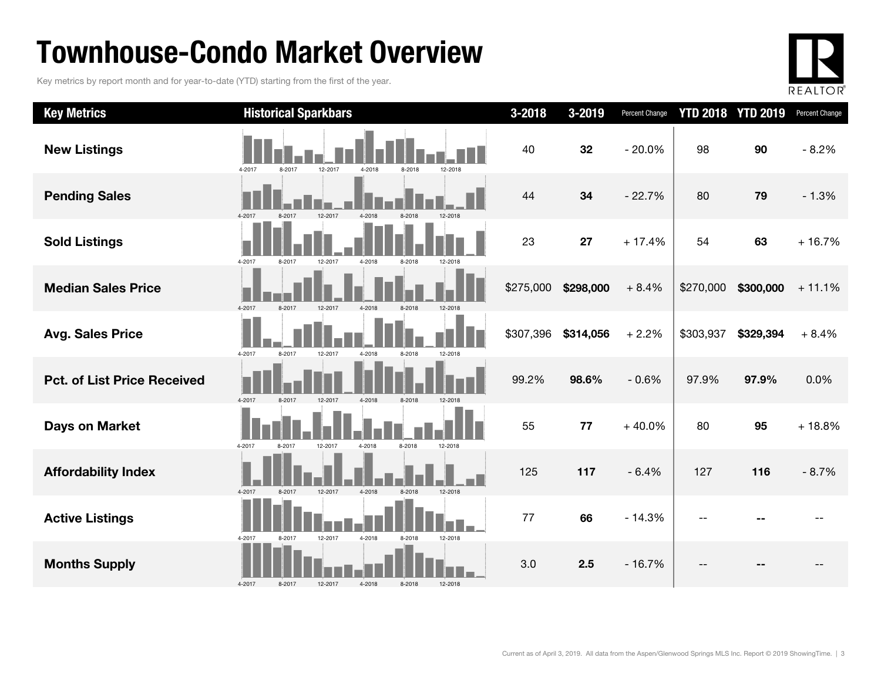# Townhouse-Condo Market Overview

Key metrics by report month and for year-to-date (YTD) starting from the first of the year.



| <b>Key Metrics</b>                 | <b>Historical Sparkbars</b>                                    | $3 - 2018$ | 3-2019    | Percent Change |           | <b>YTD 2018 YTD 2019</b> | Percent Change |
|------------------------------------|----------------------------------------------------------------|------------|-----------|----------------|-----------|--------------------------|----------------|
| <b>New Listings</b>                | 12-2017<br>4-2018<br>8-2018<br>4-2017<br>8-2017<br>12-2018     | 40         | 32        | $-20.0%$       | 98        | 90                       | $-8.2%$        |
| <b>Pending Sales</b>               | $4 - 201$                                                      | 44         | 34        | $-22.7%$       | 80        | 79                       | $-1.3%$        |
| <b>Sold Listings</b>               | 4-2017<br>12-2017<br>4-2018<br>8-2018<br>12-2018<br>8-2017     | 23         | 27        | $+17.4%$       | 54        | 63                       | $+16.7%$       |
| <b>Median Sales Price</b>          | 4-2017<br>8-2017<br>12-2017<br>$4 - 2018$<br>8-2018<br>12-2018 | \$275,000  | \$298,000 | $+8.4%$        | \$270,000 | \$300,000                | $+11.1%$       |
| <b>Avg. Sales Price</b>            | 4-2017<br>8-2017<br>12-2017<br>4-2018<br>8-2018<br>12-2018     | \$307,396  | \$314,056 | $+2.2%$        | \$303,937 | \$329,394                | $+8.4%$        |
| <b>Pct. of List Price Received</b> | 4-2017<br>8-2017<br>4-2018<br>8-2018<br>12-2017                | 99.2%      | 98.6%     | $-0.6%$        | 97.9%     | 97.9%                    | 0.0%           |
| Days on Market                     | 4-2017<br>12-2017<br>4-2018<br>8-2018<br>12-2018<br>8-2017     | 55         | 77        | $+40.0%$       | 80        | 95                       | $+18.8%$       |
| <b>Affordability Index</b>         | 12-2017<br>12-2018<br>8-2017<br>4-2018<br>8-2018<br>4-2017     | 125        | 117       | $-6.4%$        | 127       | 116                      | $-8.7%$        |
| <b>Active Listings</b>             | 12-2017<br>4-2018<br>12-2018<br>4-2017<br>8-2017<br>8-2018     | 77         | 66        | $-14.3%$       |           |                          |                |
| <b>Months Supply</b>               | 4-2017<br>4-2018<br>8-2018<br>8-2017<br>12-2017<br>12-2018     | 3.0        | 2.5       | $-16.7%$       |           |                          |                |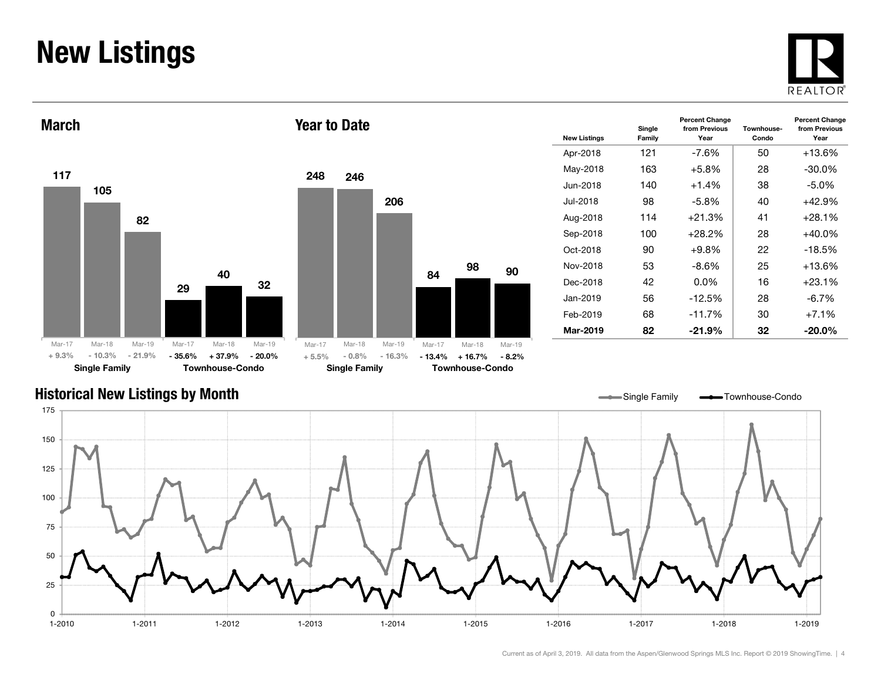# New Listings







| <b>New Listings</b> | Single<br>Family | <b>Percent Change</b><br>from Previous<br>Year | Townhouse-<br>Condo | <b>Percent Change</b><br>from Previous<br>Year |
|---------------------|------------------|------------------------------------------------|---------------------|------------------------------------------------|
| Apr-2018            | 121              | -7.6%                                          | 50                  | $+13.6%$                                       |
| May-2018            | 163              | $+5.8\%$                                       | 28                  | $-30.0\%$                                      |
| Jun-2018.           | 140              | $+1.4%$                                        | 38                  | -5.0%                                          |
| Jul-2018            | 98               | -5.8%                                          | 40                  | +42.9%                                         |
| Aug-2018            | 114              | $+21.3%$                                       | 41                  | $+28.1%$                                       |
| Sep-2018            | 100              | $+28.2\%$                                      | 28                  | +40.0%                                         |
| Oct-2018            | 90               | $+9.8%$                                        | 22                  | $-18.5%$                                       |
| Nov-2018            | 53               | -8.6%                                          | 25                  | $+13.6%$                                       |
| Dec-2018            | 42               | $0.0\%$                                        | 16                  | +23.1%                                         |
| Jan-2019            | 56               | $-12.5%$                                       | 28                  | -6.7%                                          |
| Feb-2019            | 68               | $-11.7%$                                       | 30                  | $+7.1%$                                        |
| Mar-2019            | 82               | $-21.9%$                                       | 32                  | $-20.0\%$                                      |

### Historical New Listings by Month

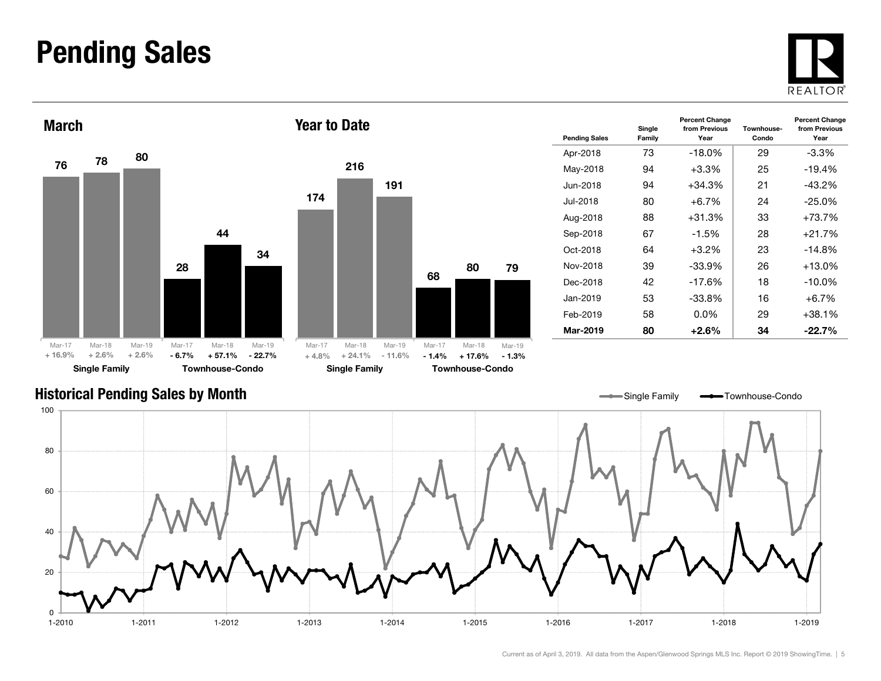### Pending Sales







| <b>Pending Sales</b> | Single<br>Family | <b>Percent Change</b><br>from Previous<br>Year | Townhouse-<br>Condo | <b>Percent Change</b><br>from Previous<br>Year |
|----------------------|------------------|------------------------------------------------|---------------------|------------------------------------------------|
| Apr-2018             | 73               | $-18.0\%$                                      | 29                  | -3.3%                                          |
| May-2018             | 94               | $+3.3%$                                        | 25                  | $-19.4%$                                       |
| Jun-2018             | 94               | $+34.3%$                                       | 21                  | $-43.2%$                                       |
| Jul-2018             | 80               | $+6.7\%$                                       | 24                  | -25.0%                                         |
| Aug-2018             | 88               | $+31.3%$                                       | 33                  | +73.7%                                         |
| Sep-2018             | 67               | $-1.5\%$                                       | 28                  | +21.7%                                         |
| Oct-2018             | 64               | $+3.2\%$                                       | 23                  | $-14.8%$                                       |
| Nov-2018             | 39               | $-33.9\%$                                      | 26                  | +13.0%                                         |
| Dec-2018             | 42               | $-17.6\%$                                      | 18                  | $-10.0\%$                                      |
| Jan-2019             | 53               | $-33.8%$                                       | 16                  | $+6.7%$                                        |
| Feb-2019             | 58               | $0.0\%$                                        | 29                  | +38.1%                                         |
| Mar-2019             | 80               | $+2.6\%$                                       | 34                  | $-22.7\%$                                      |

Single Family **-** Townhouse-Condo

#### Historical Pending Sales by Month

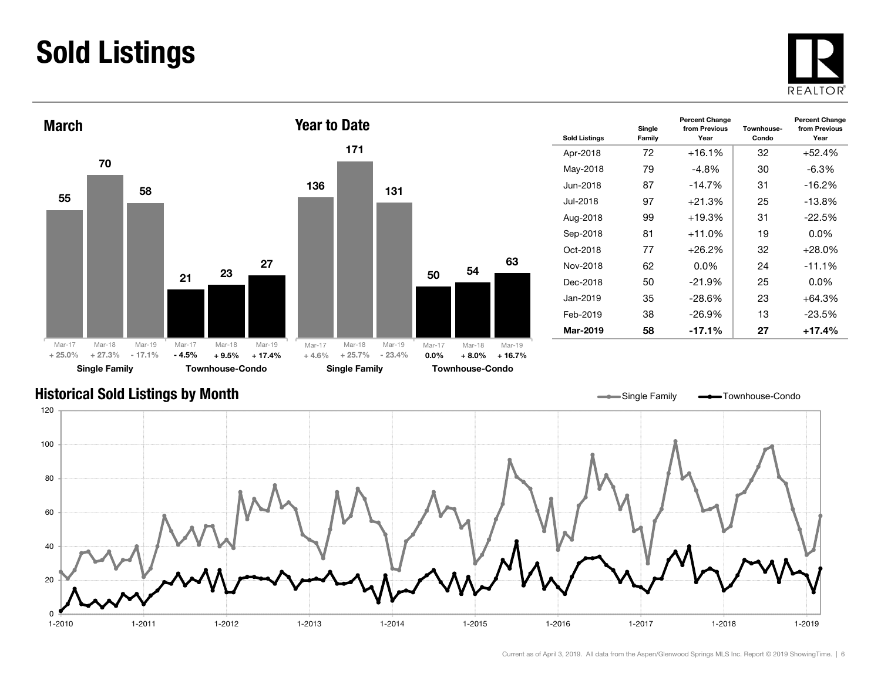# Sold Listings





| <b>Sold Listings</b> | Single<br>Family | <b>Percent Change</b><br>from Previous<br>Year | Townhouse-<br>Condo | <b>Percent Change</b><br>from Previous<br>Year |
|----------------------|------------------|------------------------------------------------|---------------------|------------------------------------------------|
| Apr-2018             | 72               | $+16.1%$                                       | 32                  | $+52.4%$                                       |
| May-2018             | 79               | -4.8%                                          | 30                  | $-6.3\%$                                       |
| Jun-2018             | 87               | $-14.7\%$                                      | 31                  | $-16.2%$                                       |
| Jul-2018             | 97               | $+21.3%$                                       | 25                  | $-13.8%$                                       |
| Aug-2018             | 99               | $+19.3%$                                       | 31                  | $-22.5%$                                       |
| Sep-2018             | 81               | $+11.0%$                                       | 19                  | $0.0\%$                                        |
| Oct-2018             | 77               | +26.2%                                         | 32                  | $+28.0%$                                       |
| Nov-2018             | 62               | $0.0\%$                                        | 24                  | $-11.1%$                                       |
| Dec-2018             | 50               | $-21.9\%$                                      | 25                  | $0.0\%$                                        |
| Jan-2019             | 35               | $-28.6\%$                                      | 23                  | $+64.3%$                                       |
| Feb-2019             | 38               | $-26.9%$                                       | 13                  | $-23.5%$                                       |
| Mar-2019             | 58               | $-17.1%$                                       | 27                  | $+17.4%$                                       |

### Historical Sold Listings by Month

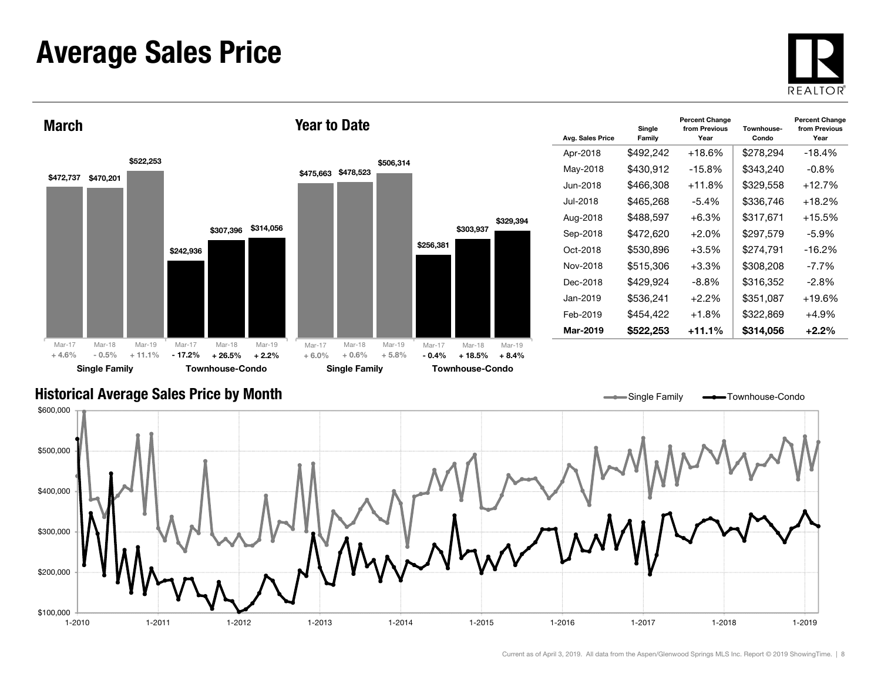### Average Sales Price





| Avg. Sales Price | Single<br>Family | <b>Percent Change</b><br>from Previous<br>Year | Townhouse-<br>Condo | <b>Percent Change</b><br>from Previous<br>Year |
|------------------|------------------|------------------------------------------------|---------------------|------------------------------------------------|
| Apr-2018         | \$492,242        | $+18.6%$                                       | \$278,294           | $-18.4%$                                       |
| May-2018         | \$430,912        | $-15.8%$                                       | \$343,240           | $-0.8%$                                        |
| Jun-2018.        | \$466,308        | +11.8%                                         | \$329,558           | $+12.7%$                                       |
| Jul-2018         | \$465.268        | -5.4%                                          | \$336,746           | $+18.2%$                                       |
| Aug-2018         | \$488,597        | $+6.3%$                                        | \$317,671           | $+15.5%$                                       |
| Sep-2018         | \$472,620        | +2.0%                                          | \$297,579           | -5.9%                                          |
| Oct-2018         | \$530,896        | $+3.5%$                                        | \$274.791           | $-16.2%$                                       |
| Nov-2018         | \$515,306        | $+3.3\%$                                       | \$308,208           | $-7.7%$                                        |
| Dec-2018         | \$429,924        | -8.8%                                          | \$316,352           | -2.8%                                          |
| Jan-2019         | \$536,241        | $+2.2\%$                                       | \$351,087           | $+19.6%$                                       |
| Feb-2019         | \$454,422        | $+1.8%$                                        | \$322,869           | +4.9%                                          |
| Mar-2019         | \$522,253        | $+11.1%$                                       | \$314.056           | $+2.2\%$                                       |

#### Historical Average Sales Price by Month

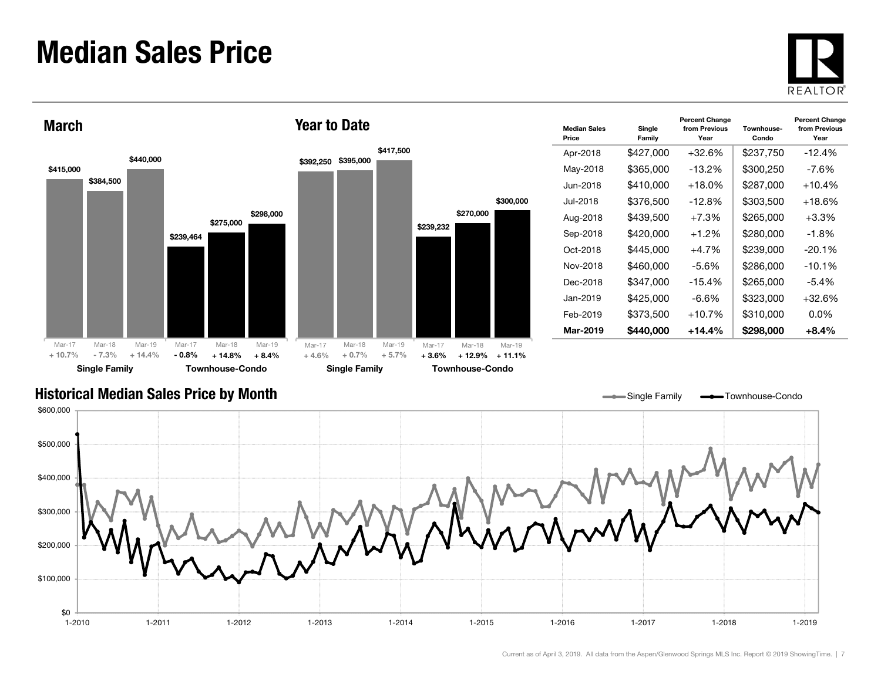### Median Sales Price





| <b>Median Sales</b><br>Price | Single<br>Family | <b>Percent Change</b><br>from Previous<br>Year | Townhouse-<br>Condo | <b>Percent Change</b><br>from Previous<br>Year |
|------------------------------|------------------|------------------------------------------------|---------------------|------------------------------------------------|
| Apr-2018                     | \$427,000        | $+32.6%$                                       | \$237,750           | $-12.4%$                                       |
| May-2018                     | \$365,000        | $-13.2\%$                                      | \$300,250           | $-7.6%$                                        |
| Jun-2018.                    | \$410,000        | +18.0%                                         | \$287,000           | $+10.4%$                                       |
| Jul-2018                     | \$376,500        | $-12.8\%$                                      | \$303.500           | $+18.6\%$                                      |
| Aug-2018                     | \$439,500        | $+7.3%$                                        | \$265,000           | $+3.3\%$                                       |
| Sep-2018                     | \$420,000        | $+1.2\%$                                       | \$280,000           | -1.8%                                          |
| Oct-2018                     | \$445,000        | $+4.7%$                                        | \$239,000           | $-20.1%$                                       |
| Nov-2018                     | \$460,000        | -5.6%                                          | \$286,000           | $-10.1%$                                       |
| Dec-2018                     | \$347,000        | $-15.4%$                                       | \$265,000           | $-5.4\%$                                       |
| Jan-2019                     | \$425,000        | -6.6%                                          | \$323,000           | $+32.6%$                                       |
| Feb-2019                     | \$373,500        | $+10.7%$                                       | \$310,000           | $0.0\%$                                        |
| Mar-2019                     | \$440.000        | $+14.4%$                                       | \$298,000           | $+8.4\%$                                       |

Single Family **-** Townhouse-Condo

#### Historical Median Sales Price by Month

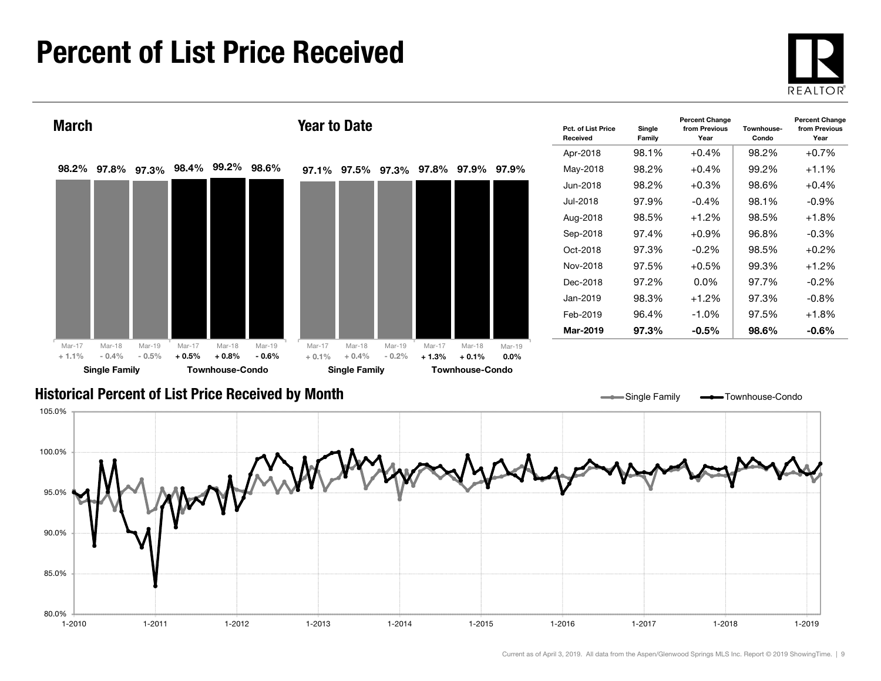# Percent of List Price Received

80.0%

1-2010

85.0%

90.0%





1-2011 1-2012 1-2013 1-2014 1-2015 1-2016 1-2017 1-2018 1-2019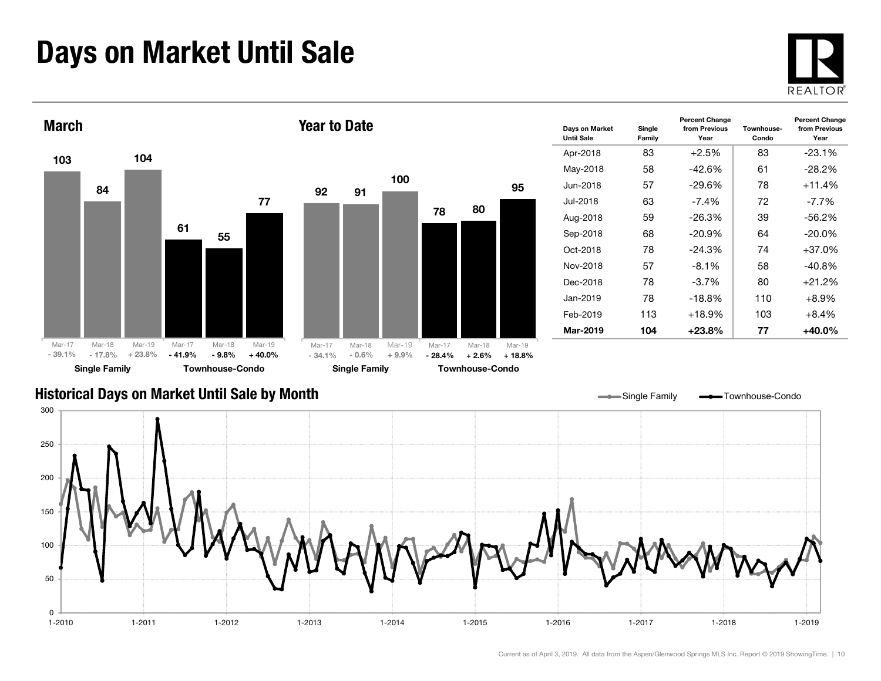# Days on Market Until Sale





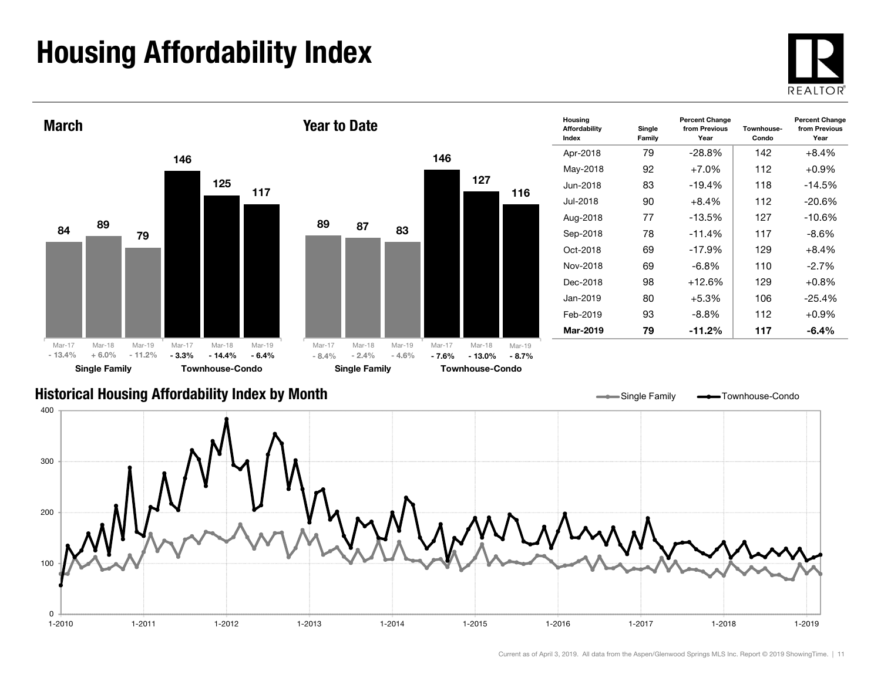# Housing Affordability Index

 $\Omega$ 





1-2010 1-2011 1-2012 1-2013 1-2014 1-2015 1-2016 1-2017 1-2018 1-2019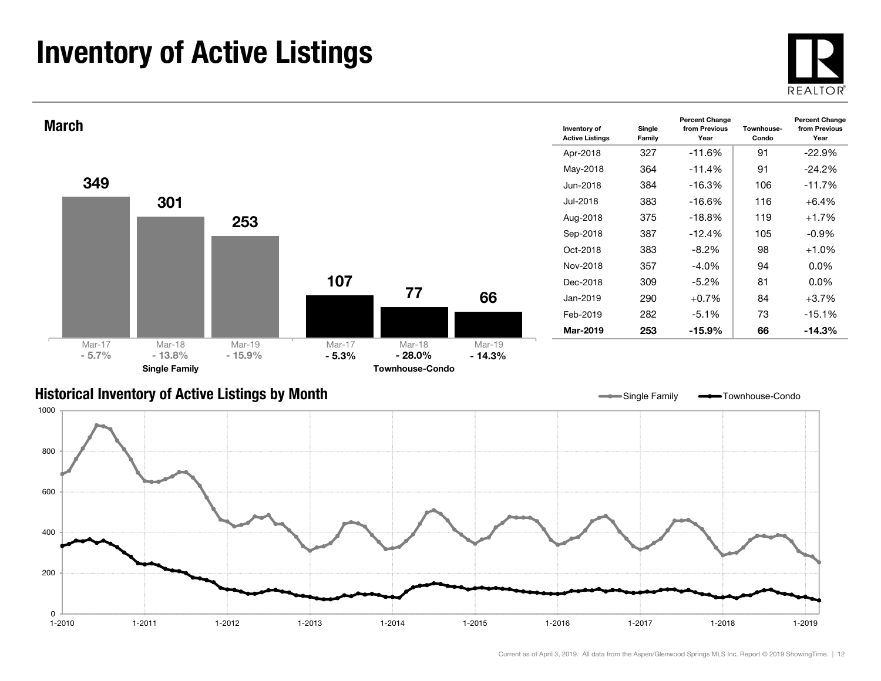# Inventory of Active Listings





#### Historical Inventory of Active Listings by Month

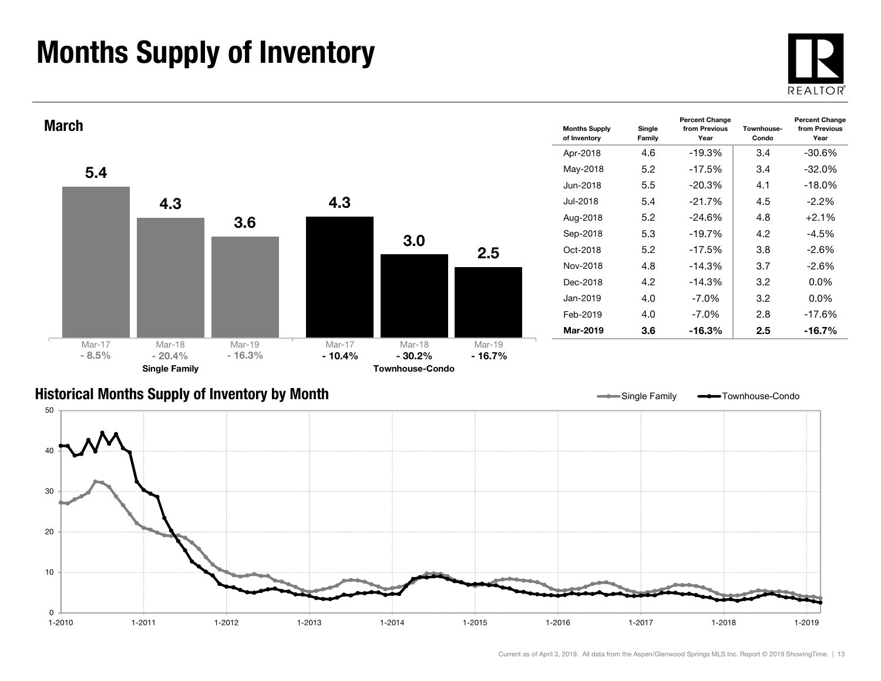# Months Supply of Inventory

0 $1 - 2010$ 

10



1-2019



1-2010 1-2011 1-2012 1-2013 1-2014 1-2015 1-2016 1-2017 1-2018 1-2019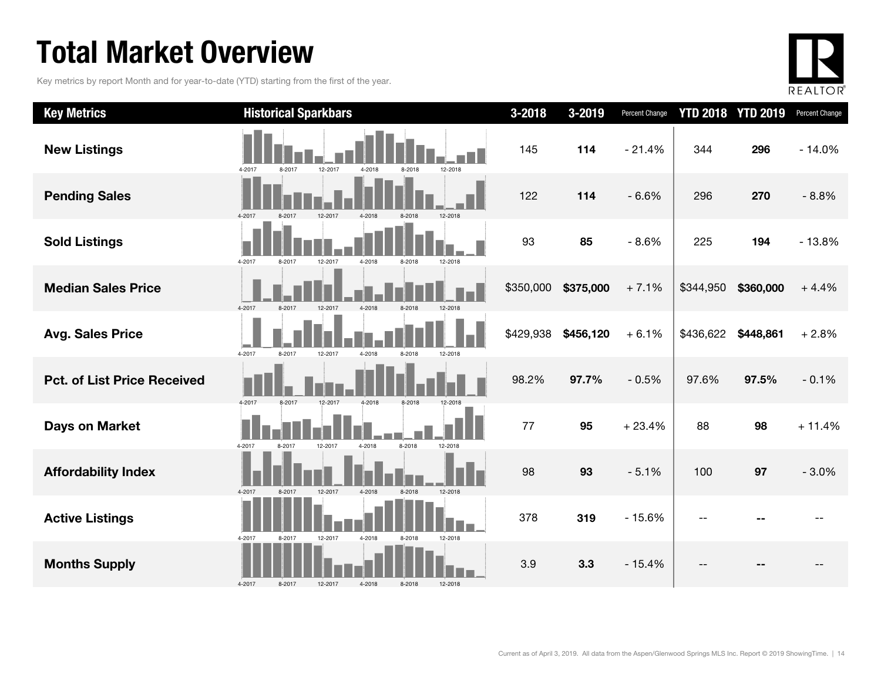# Total Market Overview

Key metrics by report Month and for year-to-date (YTD) starting from the first of the year.



| <b>Key Metrics</b>                 | <b>Historical Sparkbars</b>                                | $3 - 2018$ | 3-2019    | Percent Change |           | <b>YTD 2018 YTD 2019</b> | Percent Change |
|------------------------------------|------------------------------------------------------------|------------|-----------|----------------|-----------|--------------------------|----------------|
| <b>New Listings</b>                | 4-2017<br>8-2017<br>12-2017<br>4-2018<br>8-2018<br>12-2018 | 145        | 114       | $-21.4%$       | 344       | 296                      | $-14.0%$       |
| <b>Pending Sales</b>               | 4-2017<br>8-2017<br>12-2017<br>4-2018<br>8-2018<br>12-2018 | 122        | 114       | $-6.6%$        | 296       | 270                      | $-8.8%$        |
| <b>Sold Listings</b>               | 4-2017<br>8-2017<br>12-2017<br>4-2018<br>8-2018<br>12-2018 | 93         | 85        | $-8.6%$        | 225       | 194                      | $-13.8%$       |
| <b>Median Sales Price</b>          | 4-2017<br>12-2017<br>12-2018<br>8-2017<br>4-2018<br>8-2018 | \$350,000  | \$375,000 | $+7.1%$        | \$344,950 | \$360,000                | $+4.4%$        |
| <b>Avg. Sales Price</b>            | 4-2017<br>8-2017<br>12-2017<br>4-2018<br>8-2018<br>12-2018 | \$429,938  | \$456,120 | $+6.1%$        | \$436,622 | \$448,861                | $+2.8%$        |
| <b>Pct. of List Price Received</b> | 4-2017<br>8-2017<br>12-2017<br>4-2018<br>8-2018<br>12-2018 | 98.2%      | 97.7%     | $-0.5%$        | 97.6%     | 97.5%                    | $-0.1%$        |
| <b>Days on Market</b>              | 8-2018<br>4-2017<br>12-2018<br>8-2017<br>12-2017<br>4-2018 | 77         | 95        | $+23.4%$       | 88        | 98                       | $+11.4%$       |
| <b>Affordability Index</b>         | 12-2017<br>4-2018<br>8-2018<br>12-2018<br>4-2017<br>8-2017 | 98         | 93        | $-5.1%$        | 100       | 97                       | $-3.0%$        |
| <b>Active Listings</b>             | 4-2017<br>12-2017<br>4-2018<br>12-2018<br>8-2017<br>8-2018 | 378        | 319       | $-15.6%$       |           |                          |                |
| <b>Months Supply</b>               | 4-2018<br>8-2018<br>4-2017<br>8-2017<br>12-2017<br>12-2018 | 3.9        | 3.3       | $-15.4%$       |           |                          |                |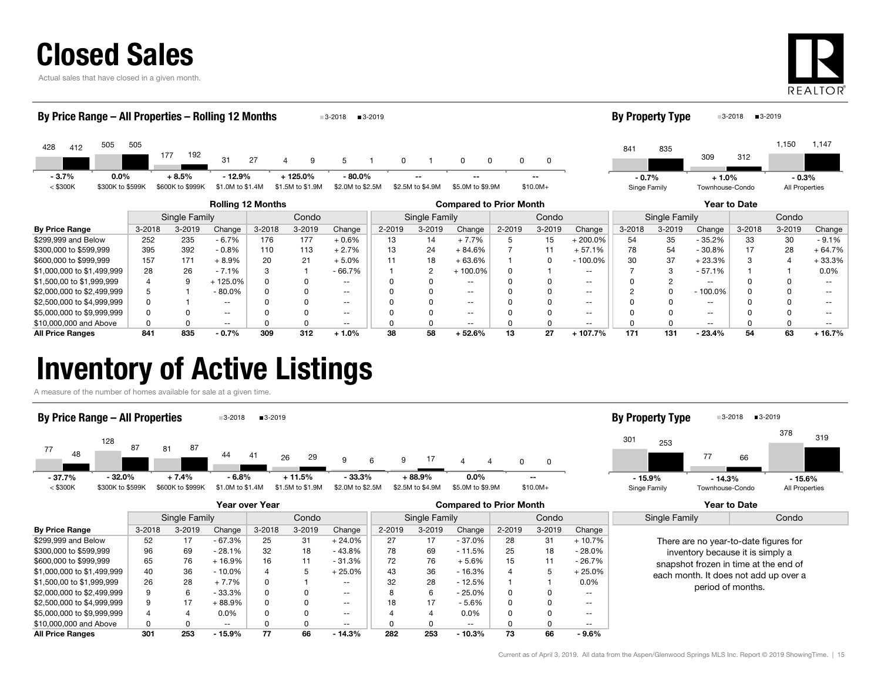

Actual sales that have closed in a given month.



| By Price Range – All Properties – Rolling 12 Months        |                  |        |                  |               |                          |            |                  | $3 - 2018$               | $3 - 2019$ |                  |                          |              |            |               | <b>By Property Type</b> |               |                          | ■3-2019<br>$3-2018$ |                |          |
|------------------------------------------------------------|------------------|--------|------------------|---------------|--------------------------|------------|------------------|--------------------------|------------|------------------|--------------------------|--------------|------------|---------------|-------------------------|---------------|--------------------------|---------------------|----------------|----------|
| 428<br>412                                                 | 505              | 505    | 177              | 192           | 31                       | 27         | 4                | 5                        | 0          |                  | $\Omega$<br>0            |              | 0          |               | 841                     | 835           | 309                      | 312                 | 1,150          | 1,147    |
| $-3.7%$                                                    | $0.0\%$          |        | $+8.5%$          |               | $-12.9%$                 |            | $+125.0%$        | $-80.0\%$                |            | --               |                          |              |            |               | $-0.7%$                 |               | $+1.0%$                  |                     | $-0.3%$        |          |
| $<$ \$300K                                                 | \$300K to \$599K |        | \$600K to \$999K |               | \$1.0M to \$1.4M         |            | \$1.5M to \$1.9M | \$2.0M to \$2.5M         |            | \$2.5M to \$4.9M | \$5.0M to \$9.9M         |              | $$10.0M+$  |               | Singe Family            |               | Townhouse-Condo          |                     | All Properties |          |
| <b>Rolling 12 Months</b><br><b>Compared to Prior Month</b> |                  |        |                  |               |                          |            |                  |                          |            |                  |                          | Year to Date |            |               |                         |               |                          |                     |                |          |
|                                                            |                  |        |                  | Single Family |                          |            | Condo            |                          |            | Single Family    |                          |              | Condo      |               |                         | Single Family |                          |                     | Condo          |          |
| <b>By Price Range</b>                                      |                  | 3-2018 |                  | $3 - 2019$    | Change                   | $3 - 2018$ | $3 - 2019$       | Change                   | 2-2019     | 3-2019           | Change                   | 2-2019       | $3 - 2019$ | Change        | 3-2018                  | 3-2019        | Change                   | 3-2018              | $3 - 2019$     | Change   |
| \$299,999 and Below                                        |                  | 252    |                  | 235           | $-6.7%$                  | 176        | 177              | $+0.6%$                  | 13         | 14               | $+7.7%$                  |              | 15         | $+200.0\%$    | 54                      | 35            | $-35.2%$                 | 33                  | 30             | $-9.1%$  |
| \$300,000 to \$599,999                                     |                  | 395    |                  | 392           | $-0.8%$                  | 110        | 113              | $+2.7%$                  | 13         | 24               | $+84.6%$                 |              | 11         | $+57.1%$      | 78                      | 54            | $-30.8%$                 | 17                  | 28             | $+64.7%$ |
| \$600,000 to \$999,999                                     |                  | 157    |                  | 171           | $+8.9%$                  | 20         | 21               | $+5.0%$                  |            | 18               | $+63.6%$                 |              | 0          | $-100.0\%$    | 30                      | 37            | $+23.3%$                 | 3                   |                | $+33.3%$ |
| \$1,000,000 to \$1,499,999                                 |                  | 28     |                  | 26            | $-7.1%$                  | 3          |                  | $-66.7%$                 |            | 2                | $+100.0\%$               |              |            | $\sim$ $\sim$ |                         | 3             | $-57.1%$                 |                     |                | 0.0%     |
| \$1,500,00 to \$1,999,999                                  |                  |        |                  | 9             | $+125.0%$                | 0          |                  | $- -$                    |            | 0                | $\overline{\phantom{a}}$ |              |            | $\sim$ $\sim$ |                         |               | $\sim$ $\sim$            |                     |                |          |
| \$2,000,000 to \$2,499,999                                 |                  |        |                  |               | $-80.0\%$                | 0          |                  | $\overline{\phantom{a}}$ |            | 0                | $\overline{\phantom{a}}$ |              |            | $- -$         |                         |               | $-100.0\%$               |                     |                |          |
| \$2,500,000 to \$4,999,999                                 |                  |        |                  |               | $\overline{\phantom{a}}$ |            |                  | $- -$                    |            | 0                | $\overline{\phantom{a}}$ |              |            | $\sim$ $\sim$ |                         |               | $\overline{\phantom{m}}$ |                     |                |          |

\$5,000,000 to \$9,999,999 **discript of the CONT OF CONTACT OF CONTACT OF CONTACT OF CONTACT OF CONTACT OF CONTACT OF CONTACT OF CONTACT OF CONTACT OF CONTACT OF CONTACT OF CONTACT OF CONTACT OF CONTACT OF CONTACT OF CONTACT** \$10,000,000 and Above 0 0 -- 0 0 -- 0 0 -- 0 0 -- 0 0 -- 0 0 -- All Price Ranges 841 835 - 0.7% 309 312 + 1.0% 38 58 + 52.6% 13 27 + 107.7% 171 131 - 23.4% 54 63 + 16.7%

### Inventory of Active Listings

A measure of the number of homes available for sale at a given time.



|                            |            | Year over Year |               |            |        |                          |        | <b>Compared to Prior Month</b> |               |        |            |                   |  | <b>Year to Date</b>                   |  |               |       |
|----------------------------|------------|----------------|---------------|------------|--------|--------------------------|--------|--------------------------------|---------------|--------|------------|-------------------|--|---------------------------------------|--|---------------|-------|
|                            |            | Single Family  |               |            | Condo  |                          |        | Single Family                  |               | Condo  |            |                   |  |                                       |  | Single Family | Condo |
| <b>By Price Range</b>      | $3 - 2018$ | $3 - 2019$     | Change        | $3 - 2018$ | 3-2019 | Change                   | 2-2019 | $3 - 2019$                     | Change        | 2-2019 | $3 - 2019$ | Change            |  |                                       |  |               |       |
| \$299,999 and Below        | 52         | 17             | $-67.3%$      | 25         | 31     | + 24.0%                  | 27     | 17                             | $-37.0%$      | 28     | 31         | $+10.7%$          |  | There are no year-to-date figures for |  |               |       |
| \$300,000 to \$599,999     | 96         | 69             | $-28.1%$      | 32         | 18     | $-43.8%$                 | 78     | 69                             | $-11.5%$      | 25     | 18         | $-28.0%$          |  | inventory because it is simply a      |  |               |       |
| \$600,000 to \$999,999     | 65         | 76             | $+16.9%$      | 16         | 11     | $-31.3%$                 | 72     | 76                             | $+5.6%$       | 15     |            | $-26.7%$          |  | snapshot frozen in time at the end of |  |               |       |
| \$1,000,000 to \$1,499,999 | 40         | 36             | $-10.0\%$     |            |        | $+25.0\%$                | 43     | 36                             | $-16.3%$      | 4      |            | $+25.0%$          |  | each month. It does not add up over a |  |               |       |
| \$1,500,00 to \$1,999,999  | 26         | 28             | $+7.7%$       |            |        | $- -$                    | 32     | 28                             | $-12.5%$      |        |            | 0.0%              |  | period of months.                     |  |               |       |
| \$2,000,000 to \$2,499,999 |            |                | $-33.3%$      |            |        | $\overline{\phantom{a}}$ |        | 6                              | - 25.0%       | 0      |            | $\qquad \qquad -$ |  |                                       |  |               |       |
| \$2,500,000 to \$4,999,999 | 9          | 17             | $+88.9%$      |            |        | $- -$                    | 18     | 17                             | $-5.6%$       | 0      |            | $- -$             |  |                                       |  |               |       |
| \$5,000,000 to \$9,999,999 |            |                | $0.0\%$       |            |        | $\overline{\phantom{a}}$ |        |                                | $0.0\%$       | 0      |            | $\qquad \qquad -$ |  |                                       |  |               |       |
| \$10,000,000 and Above     |            |                | $\sim$ $\sim$ |            |        | $\overline{\phantom{a}}$ |        |                                | $\sim$ $\sim$ |        |            | $- -$             |  |                                       |  |               |       |
| <b>All Price Ranges</b>    | 301        | 253            | $-15.9%$      | 77         | 66     | $-14.3%$                 | 282    | 253                            | $-10.3%$      | 73     | 66         | - 9.6%            |  |                                       |  |               |       |